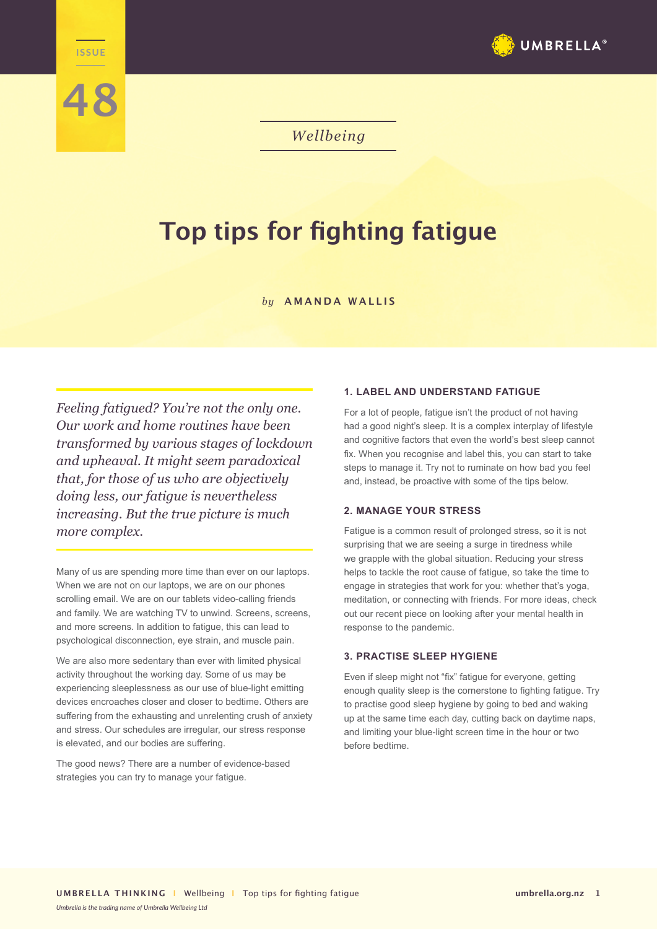

# *Wellbeing*

# **Top tips for fighting fatigue**

#### *by* **AMANDA WALLIS**

*Feeling fatigued? You're not the only one. Our work and home routines have been transformed by various stages of lockdown and upheaval. It might seem paradoxical that, for those of us who are objectively doing less, our fatigue is nevertheless increasing. But the true picture is much more complex.* 

**WELLENGE** 

**48**

Many of us are spending more time than ever on our laptops. When we are not on our laptops, we are on our phones scrolling email. We are on our tablets video-calling friends and family. We are watching TV to unwind. Screens, screens, and more screens. In addition to fatigue, this can lead to psychological disconnection, eye strain, and muscle pain.

We are also more sedentary than ever with limited physical activity throughout the working day. Some of us may be experiencing sleeplessness as our use of blue-light emitting devices encroaches closer and closer to bedtime. Others are suffering from the exhausting and unrelenting crush of anxiety and stress. Our schedules are irregular, our stress response is elevated, and our bodies are suffering.

The good news? There are a number of evidence-based strategies you can try to manage your fatigue.

### **1. LABEL AND UNDERSTAND FATIGUE**

For a lot of people, fatigue isn't the product of not having had a good night's sleep. It is a complex interplay of lifestyle and cognitive factors that even the world's best sleep cannot fix. When you recognise and label this, you can start to take steps to manage it. Try not to ruminate on how bad you feel and, instead, be proactive with some of the tips below.

# **2. MANAGE YOUR STRESS**

Fatigue is a common result of prolonged stress, so it is not surprising that we are seeing a surge in tiredness while we grapple with the global situation. Reducing your stress helps to tackle the root cause of fatigue, so take the time to engage in strategies that work for you: whether that's yoga, meditation, or connecting with friends. For more ideas, check out our recent piece on looking after your mental health in response to the pandemic.

#### **3. PRACTISE SLEEP HYGIENE**

Even if sleep might not "fix" fatigue for everyone, getting enough quality sleep is the cornerstone to fighting fatigue. Try to practise good sleep hygiene by going to bed and waking up at the same time each day, cutting back on daytime naps, and limiting your blue-light screen time in the hour or two before bedtime.